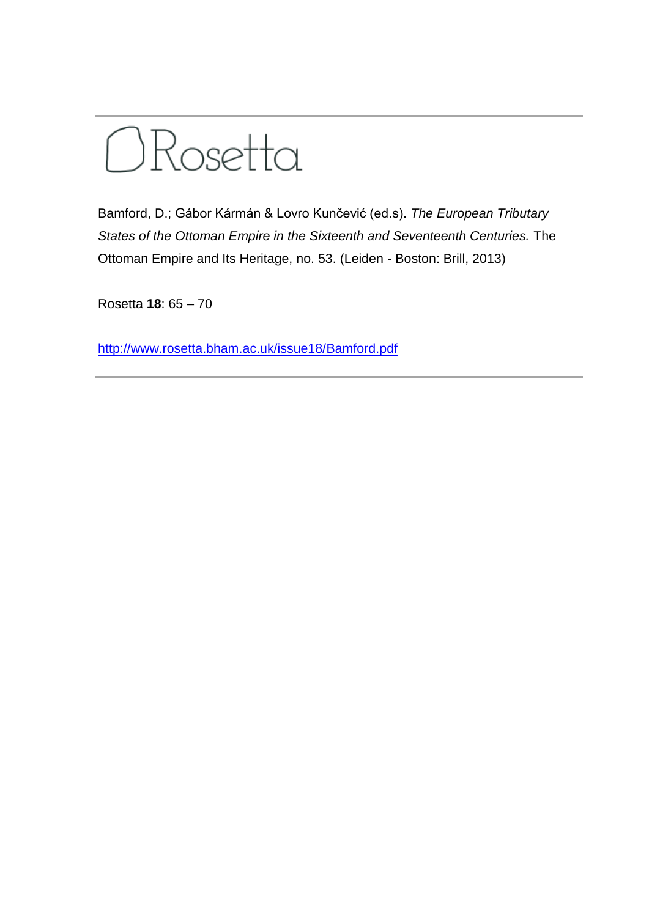

Bamford, D.; Gábor Kármán & Lovro Kunčević (ed.s). *The European Tributary States of the Ottoman Empire in the Sixteenth and Seventeenth Centuries.* The Ottoman Empire and Its Heritage, no. 53. (Leiden - Boston: Brill, 2013)

Rosetta **18**: 65 – 70

[http://www.rosetta.bham.ac.uk/issue18/Bamford.pdf](http://www.rosetta.bham.ac.uk/issue18/Pappas.pdf)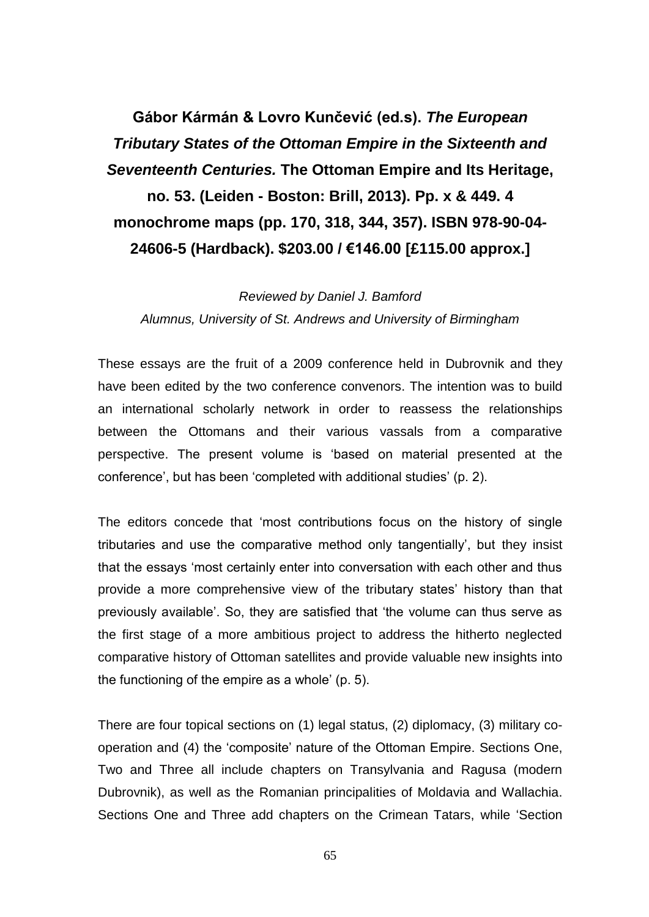## **Gábor Kármán & Lovro Kunčević (ed.s).** *The European Tributary States of the Ottoman Empire in the Sixteenth and Seventeenth Centuries.* **The Ottoman Empire and Its Heritage, no. 53. (Leiden - Boston: Brill, 2013). Pp. x & 449. 4 monochrome maps (pp. 170, 318, 344, 357). ISBN 978-90-04- 24606-5 (Hardback). \$203.00 / €146.00 [£115.00 approx.]**

*Reviewed by Daniel J. Bamford Alumnus, University of St. Andrews and University of Birmingham*

These essays are the fruit of a 2009 conference held in Dubrovnik and they have been edited by the two conference convenors. The intention was to build an international scholarly network in order to reassess the relationships between the Ottomans and their various vassals from a comparative perspective. The present volume is 'based on material presented at the conference', but has been 'completed with additional studies' (p. 2).

The editors concede that 'most contributions focus on the history of single tributaries and use the comparative method only tangentially', but they insist that the essays 'most certainly enter into conversation with each other and thus provide a more comprehensive view of the tributary states' history than that previously available'. So, they are satisfied that 'the volume can thus serve as the first stage of a more ambitious project to address the hitherto neglected comparative history of Ottoman satellites and provide valuable new insights into the functioning of the empire as a whole' (p. 5).

There are four topical sections on (1) legal status, (2) diplomacy, (3) military cooperation and (4) the 'composite' nature of the Ottoman Empire. Sections One, Two and Three all include chapters on Transylvania and Ragusa (modern Dubrovnik), as well as the Romanian principalities of Moldavia and Wallachia. Sections One and Three add chapters on the Crimean Tatars, while 'Section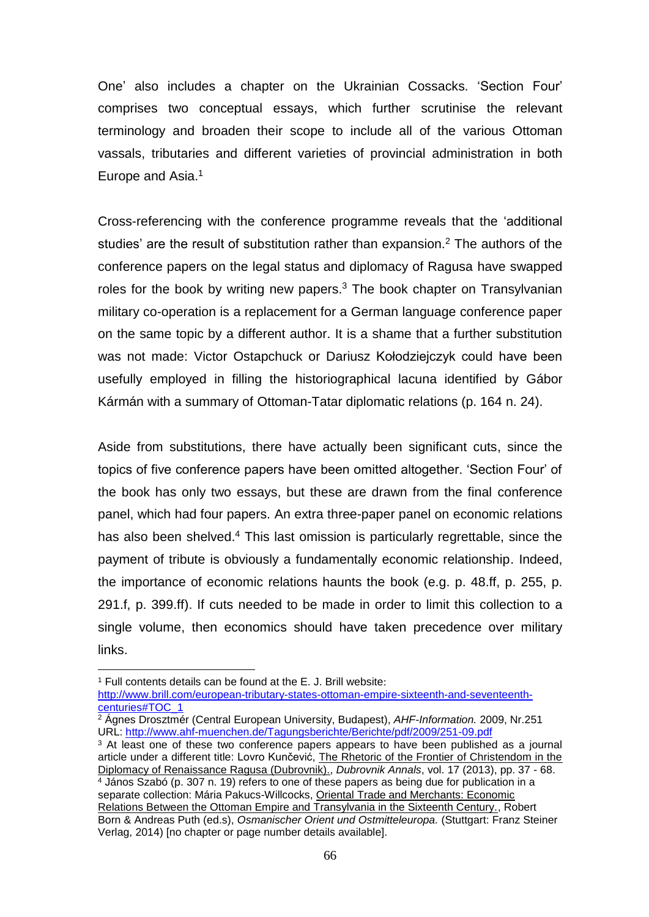One' also includes a chapter on the Ukrainian Cossacks. 'Section Four' comprises two conceptual essays, which further scrutinise the relevant terminology and broaden their scope to include all of the various Ottoman vassals, tributaries and different varieties of provincial administration in both Europe and Asia. 1

Cross-referencing with the conference programme reveals that the 'additional studies' are the result of substitution rather than expansion.<sup>2</sup> The authors of the conference papers on the legal status and diplomacy of Ragusa have swapped roles for the book by writing new papers. $3$  The book chapter on Transylvanian military co-operation is a replacement for a German language conference paper on the same topic by a different author. It is a shame that a further substitution was not made: Victor Ostapchuck or Dariusz Kołodziejczyk could have been usefully employed in filling the historiographical lacuna identified by Gábor Kármán with a summary of Ottoman-Tatar diplomatic relations (p. 164 n. 24).

Aside from substitutions, there have actually been significant cuts, since the topics of five conference papers have been omitted altogether. 'Section Four' of the book has only two essays, but these are drawn from the final conference panel, which had four papers. An extra three-paper panel on economic relations has also been shelved.<sup>4</sup> This last omission is particularly regrettable, since the payment of tribute is obviously a fundamentally economic relationship. Indeed, the importance of economic relations haunts the book (e.g. p. 48.ff, p. 255, p. 291.f, p. 399.ff). If cuts needed to be made in order to limit this collection to a single volume, then economics should have taken precedence over military links.

<sup>1</sup> Full contents details can be found at the E. J. Brill website: [http://www.brill.com/european-tributary-states-ottoman-empire-sixteenth-and-seventeenth](http://www.brill.com/european-tributary-states-ottoman-empire-sixteenth-and-seventeenth-centuries#TOC_1)[centuries#TOC\\_1](http://www.brill.com/european-tributary-states-ottoman-empire-sixteenth-and-seventeenth-centuries#TOC_1)

 $\overline{a}$ 

<sup>2</sup> Ágnes Drosztmér (Central European University, Budapest), *AHF-Information.* 2009, Nr.251 URL:<http://www.ahf-muenchen.de/Tagungsberichte/Berichte/pdf/2009/251-09.pdf>

<sup>&</sup>lt;sup>3</sup> At least one of these two conference papers appears to have been published as a journal article under a different title: Lovro Kunčević, The Rhetoric of the Frontier of Christendom in the Diplomacy of Renaissance Ragusa (Dubrovnik)., *Dubrovnik Annals*, vol. 17 (2013), pp. 37 - 68.

<sup>4</sup> János Szabó (p. 307 n. 19) refers to one of these papers as being due for publication in a separate collection: Mária Pakucs-Willcocks, Oriental Trade and Merchants: Economic Relations Between the Ottoman Empire and Transylvania in the Sixteenth Century., Robert Born & Andreas Puth (ed.s), *Osmanischer Orient und Ostmitteleuropa.* (Stuttgart: Franz Steiner Verlag, 2014) [no chapter or page number details available].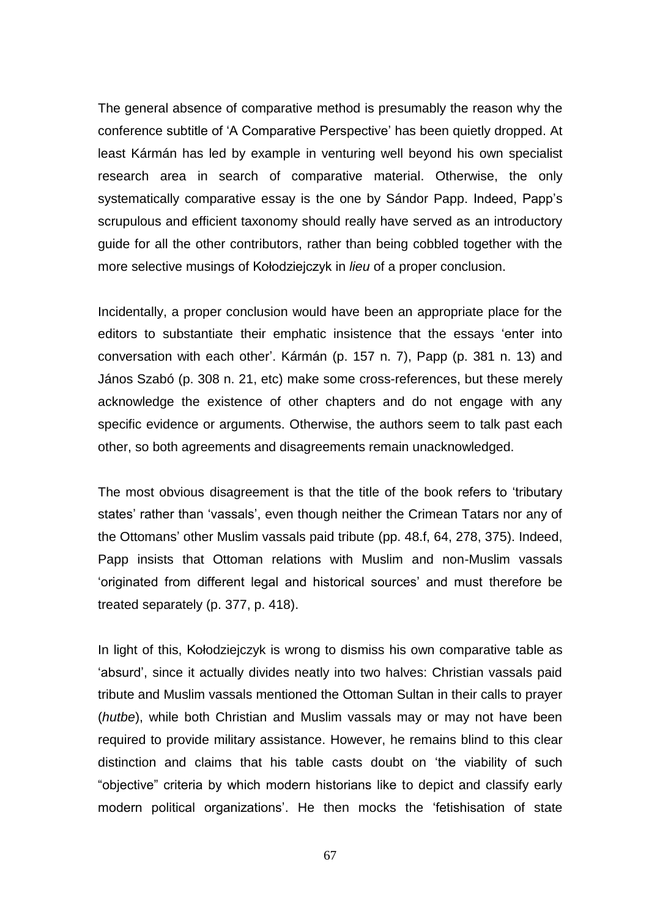The general absence of comparative method is presumably the reason why the conference subtitle of 'A Comparative Perspective' has been quietly dropped. At least Kármán has led by example in venturing well beyond his own specialist research area in search of comparative material. Otherwise, the only systematically comparative essay is the one by Sándor Papp. Indeed, Papp's scrupulous and efficient taxonomy should really have served as an introductory guide for all the other contributors, rather than being cobbled together with the more selective musings of Kołodziejczyk in *lieu* of a proper conclusion.

Incidentally, a proper conclusion would have been an appropriate place for the editors to substantiate their emphatic insistence that the essays 'enter into conversation with each other'. Kármán (p. 157 n. 7), Papp (p. 381 n. 13) and János Szabó (p. 308 n. 21, etc) make some cross-references, but these merely acknowledge the existence of other chapters and do not engage with any specific evidence or arguments. Otherwise, the authors seem to talk past each other, so both agreements and disagreements remain unacknowledged.

The most obvious disagreement is that the title of the book refers to 'tributary states' rather than 'vassals', even though neither the Crimean Tatars nor any of the Ottomans' other Muslim vassals paid tribute (pp. 48.f, 64, 278, 375). Indeed, Papp insists that Ottoman relations with Muslim and non-Muslim vassals 'originated from different legal and historical sources' and must therefore be treated separately (p. 377, p. 418).

In light of this, Kołodziejczyk is wrong to dismiss his own comparative table as 'absurd', since it actually divides neatly into two halves: Christian vassals paid tribute and Muslim vassals mentioned the Ottoman Sultan in their calls to prayer (*hutbe*), while both Christian and Muslim vassals may or may not have been required to provide military assistance. However, he remains blind to this clear distinction and claims that his table casts doubt on 'the viability of such "objective" criteria by which modern historians like to depict and classify early modern political organizations'. He then mocks the 'fetishisation of state

67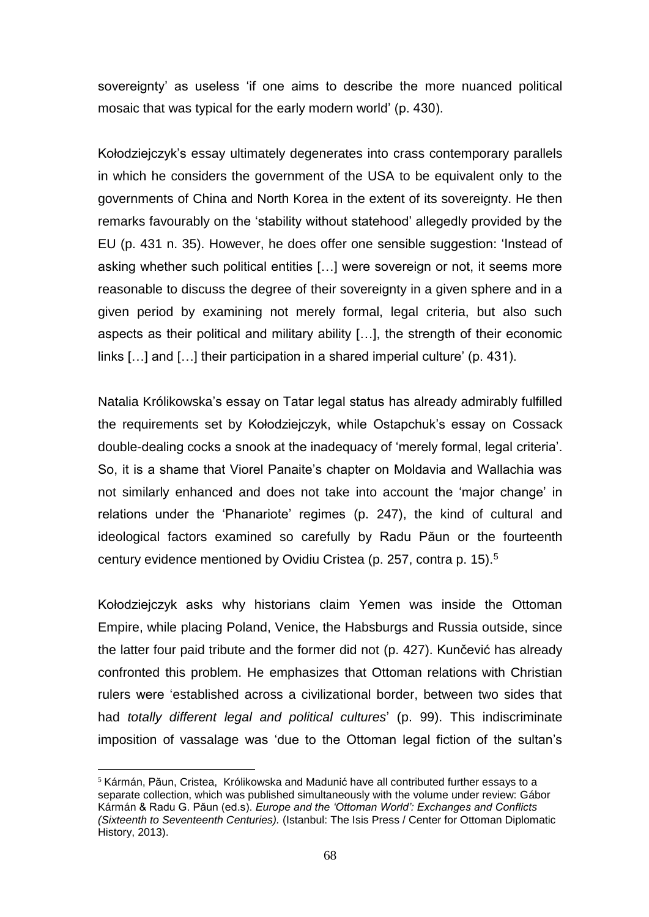sovereignty' as useless 'if one aims to describe the more nuanced political mosaic that was typical for the early modern world' (p. 430).

Kołodziejczyk's essay ultimately degenerates into crass contemporary parallels in which he considers the government of the USA to be equivalent only to the governments of China and North Korea in the extent of its sovereignty. He then remarks favourably on the 'stability without statehood' allegedly provided by the EU (p. 431 n. 35). However, he does offer one sensible suggestion: 'Instead of asking whether such political entities […] were sovereign or not, it seems more reasonable to discuss the degree of their sovereignty in a given sphere and in a given period by examining not merely formal, legal criteria, but also such aspects as their political and military ability […], the strength of their economic links […] and […] their participation in a shared imperial culture' (p. 431).

Natalia Królikowska's essay on Tatar legal status has already admirably fulfilled the requirements set by Kołodziejczyk, while Ostapchuk's essay on Cossack double-dealing cocks a snook at the inadequacy of 'merely formal, legal criteria'. So, it is a shame that Viorel Panaite's chapter on Moldavia and Wallachia was not similarly enhanced and does not take into account the 'major change' in relations under the 'Phanariote' regimes (p. 247), the kind of cultural and ideological factors examined so carefully by Radu Păun or the fourteenth century evidence mentioned by Ovidiu Cristea (p. 257, contra p. 15).<sup>5</sup>

Kołodziejczyk asks why historians claim Yemen was inside the Ottoman Empire, while placing Poland, Venice, the Habsburgs and Russia outside, since the latter four paid tribute and the former did not (p. 427). Kunčević has already confronted this problem. He emphasizes that Ottoman relations with Christian rulers were 'established across a civilizational border, between two sides that had *totally different legal and political cultures*' (p. 99). This indiscriminate imposition of vassalage was 'due to the Ottoman legal fiction of the sultan's

 $\overline{a}$ 

 $5$  Kármán, Păun, Cristea, Królikowska and Madunić have all contributed further essays to a separate collection, which was published simultaneously with the volume under review: Gábor Kármán & Radu G. Păun (ed.s). *Europe and the 'Ottoman World': Exchanges and Conflicts (Sixteenth to Seventeenth Centuries).* (Istanbul: The Isis Press / Center for Ottoman Diplomatic History, 2013).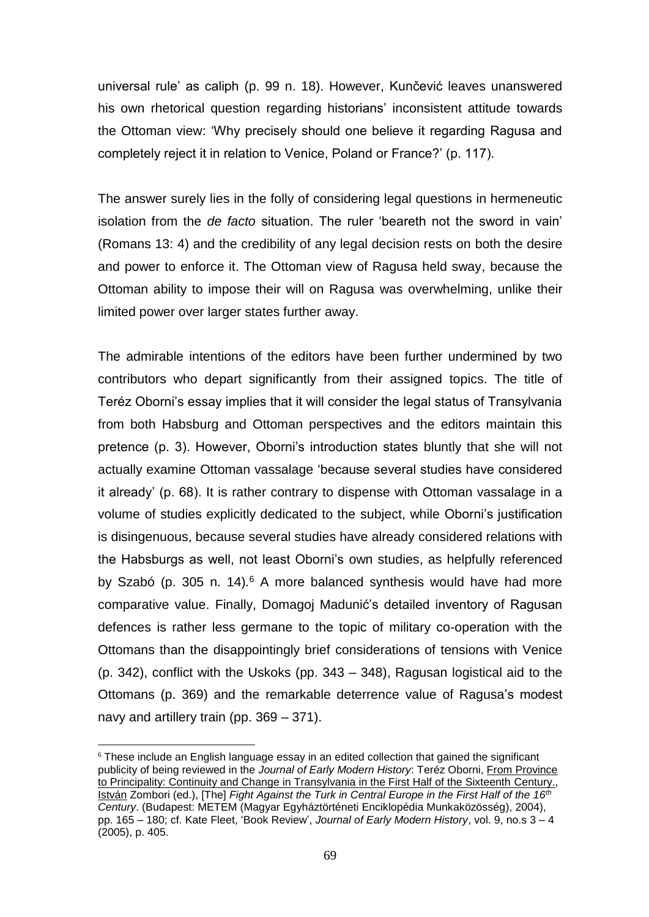universal rule' as caliph (p. 99 n. 18). However, Kunčević leaves unanswered his own rhetorical question regarding historians' inconsistent attitude towards the Ottoman view: 'Why precisely should one believe it regarding Ragusa and completely reject it in relation to Venice, Poland or France?' (p. 117).

The answer surely lies in the folly of considering legal questions in hermeneutic isolation from the *de facto* situation. The ruler 'beareth not the sword in vain' (Romans 13: 4) and the credibility of any legal decision rests on both the desire and power to enforce it. The Ottoman view of Ragusa held sway, because the Ottoman ability to impose their will on Ragusa was overwhelming, unlike their limited power over larger states further away.

The admirable intentions of the editors have been further undermined by two contributors who depart significantly from their assigned topics. The title of Teréz Oborni's essay implies that it will consider the legal status of Transylvania from both Habsburg and Ottoman perspectives and the editors maintain this pretence (p. 3). However, Oborni's introduction states bluntly that she will not actually examine Ottoman vassalage 'because several studies have considered it already' (p. 68). It is rather contrary to dispense with Ottoman vassalage in a volume of studies explicitly dedicated to the subject, while Oborni's justification is disingenuous, because several studies have already considered relations with the Habsburgs as well, not least Oborni's own studies, as helpfully referenced by Szabó (p. 305 n. 14)*.* <sup>6</sup> A more balanced synthesis would have had more comparative value. Finally, Domagoj Madunić's detailed inventory of Ragusan defences is rather less germane to the topic of military co-operation with the Ottomans than the disappointingly brief considerations of tensions with Venice (p. 342), conflict with the Uskoks (pp. 343 – 348), Ragusan logistical aid to the Ottomans (p. 369) and the remarkable deterrence value of Ragusa's modest navy and artillery train (pp. 369 – 371).

 $\overline{a}$ 

 $6$  These include an English language essay in an edited collection that gained the significant publicity of being reviewed in the *Journal of Early Modern History*: Teréz Oborni, From Province to Principality: Continuity and Change in Transylvania in the First Half of the Sixteenth Century., István Zombori (ed.), [The] *Fight Against the Turk in Central Europe in the First Half of the 16th Century*. (Budapest: METEM (Magyar Egyháztörténeti Enciklopédia Munkaközösség), 2004), pp. 165 – 180; cf. Kate Fleet, 'Book Review', *Journal of Early Modern History*, vol. 9, no.s 3 – 4 (2005), p. 405.